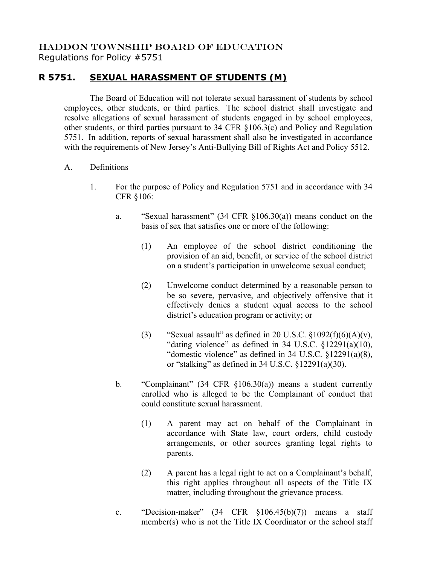## HADDON TOWNSHIP BOARD OF EDUCATION Regulations for Policy #5751

## **R 5751. SEXUAL HARASSMENT OF STUDENTS (M)**

The Board of Education will not tolerate sexual harassment of students by school employees, other students, or third parties. The school district shall investigate and resolve allegations of sexual harassment of students engaged in by school employees, other students, or third parties pursuant to 34 CFR §106.3(c) and Policy and Regulation 5751. In addition, reports of sexual harassment shall also be investigated in accordance with the requirements of New Jersey's Anti-Bullying Bill of Rights Act and Policy 5512.

- A. Definitions
	- 1. For the purpose of Policy and Regulation 5751 and in accordance with 34 CFR §106:
		- a. "Sexual harassment" (34 CFR §106.30(a)) means conduct on the basis of sex that satisfies one or more of the following:
			- (1) An employee of the school district conditioning the provision of an aid, benefit, or service of the school district on a student's participation in unwelcome sexual conduct;
			- (2) Unwelcome conduct determined by a reasonable person to be so severe, pervasive, and objectively offensive that it effectively denies a student equal access to the school district's education program or activity; or
			- (3) "Sexual assault" as defined in 20 U.S.C.  $\frac{\S 1092(f)(6)(A)}{V}$ , "dating violence" as defined in  $34 \text{ U.S.C. } $12291(a)(10),$ "domestic violence" as defined in 34 U.S.C. §12291(a)(8), or "stalking" as defined in  $34$  U.S.C.  $\S$ 12291(a)(30).
		- b. "Complainant" (34 CFR §106.30(a)) means a student currently enrolled who is alleged to be the Complainant of conduct that could constitute sexual harassment.
			- (1) A parent may act on behalf of the Complainant in accordance with State law, court orders, child custody arrangements, or other sources granting legal rights to parents.
			- (2) A parent has a legal right to act on a Complainant's behalf, this right applies throughout all aspects of the Title IX matter, including throughout the grievance process.
		- c. "Decision-maker" (34 CFR §106.45(b)(7)) means a staff member(s) who is not the Title IX Coordinator or the school staff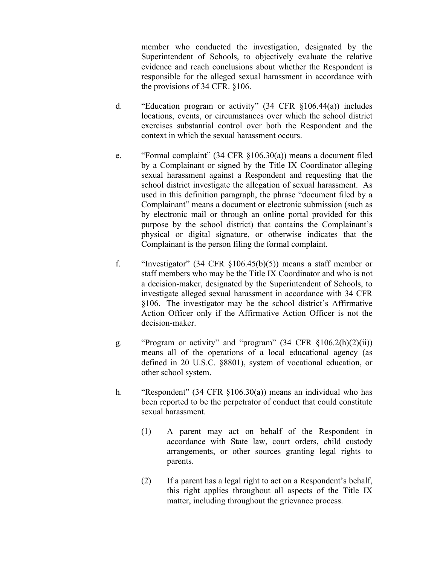member who conducted the investigation, designated by the Superintendent of Schools, to objectively evaluate the relative evidence and reach conclusions about whether the Respondent is responsible for the alleged sexual harassment in accordance with the provisions of 34 CFR. §106.

- d. "Education program or activity" (34 CFR §106.44(a)) includes locations, events, or circumstances over which the school district exercises substantial control over both the Respondent and the context in which the sexual harassment occurs.
- e. "Formal complaint" (34 CFR §106.30(a)) means a document filed by a Complainant or signed by the Title IX Coordinator alleging sexual harassment against a Respondent and requesting that the school district investigate the allegation of sexual harassment. As used in this definition paragraph, the phrase "document filed by a Complainant" means a document or electronic submission (such as by electronic mail or through an online portal provided for this purpose by the school district) that contains the Complainant's physical or digital signature, or otherwise indicates that the Complainant is the person filing the formal complaint.
- f. "Investigator" (34 CFR  $\S106.45(b)(5)$ ) means a staff member or staff members who may be the Title IX Coordinator and who is not a decision-maker, designated by the Superintendent of Schools, to investigate alleged sexual harassment in accordance with 34 CFR §106. The investigator may be the school district's Affirmative Action Officer only if the Affirmative Action Officer is not the decision-maker.
- g. "Program or activity" and "program" (34 CFR §106.2(h)(2)(ii)) means all of the operations of a local educational agency (as defined in 20 U.S.C. §8801), system of vocational education, or other school system.
- h. "Respondent" (34 CFR §106.30(a)) means an individual who has been reported to be the perpetrator of conduct that could constitute sexual harassment.
	- (1) A parent may act on behalf of the Respondent in accordance with State law, court orders, child custody arrangements, or other sources granting legal rights to parents.
	- (2) If a parent has a legal right to act on a Respondent's behalf, this right applies throughout all aspects of the Title IX matter, including throughout the grievance process.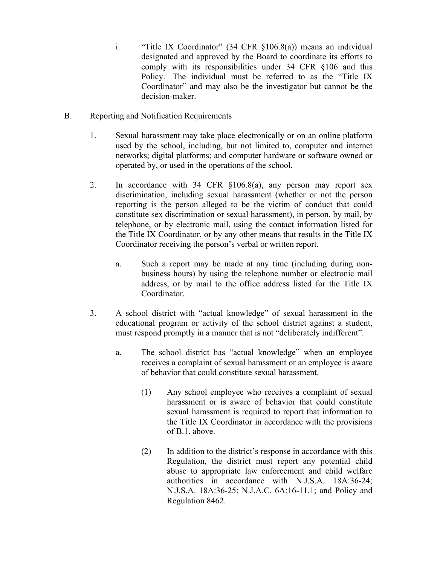- i. "Title IX Coordinator" (34 CFR §106.8(a)) means an individual designated and approved by the Board to coordinate its efforts to comply with its responsibilities under 34 CFR §106 and this Policy. The individual must be referred to as the "Title IX Coordinator" and may also be the investigator but cannot be the decision-maker.
- B. Reporting and Notification Requirements
	- 1. Sexual harassment may take place electronically or on an online platform used by the school, including, but not limited to, computer and internet networks; digital platforms; and computer hardware or software owned or operated by, or used in the operations of the school.
	- 2. In accordance with 34 CFR §106.8(a), any person may report sex discrimination, including sexual harassment (whether or not the person reporting is the person alleged to be the victim of conduct that could constitute sex discrimination or sexual harassment), in person, by mail, by telephone, or by electronic mail, using the contact information listed for the Title IX Coordinator, or by any other means that results in the Title IX Coordinator receiving the person's verbal or written report.
		- a. Such a report may be made at any time (including during nonbusiness hours) by using the telephone number or electronic mail address, or by mail to the office address listed for the Title IX Coordinator.
	- 3. A school district with "actual knowledge" of sexual harassment in the educational program or activity of the school district against a student, must respond promptly in a manner that is not "deliberately indifferent".
		- a. The school district has "actual knowledge" when an employee receives a complaint of sexual harassment or an employee is aware of behavior that could constitute sexual harassment.
			- (1) Any school employee who receives a complaint of sexual harassment or is aware of behavior that could constitute sexual harassment is required to report that information to the Title IX Coordinator in accordance with the provisions of B.1. above.
			- (2) In addition to the district's response in accordance with this Regulation, the district must report any potential child abuse to appropriate law enforcement and child welfare authorities in accordance with N.J.S.A. 18A:36-24; N.J.S.A. 18A:36-25; N.J.A.C. 6A:16-11.1; and Policy and Regulation 8462.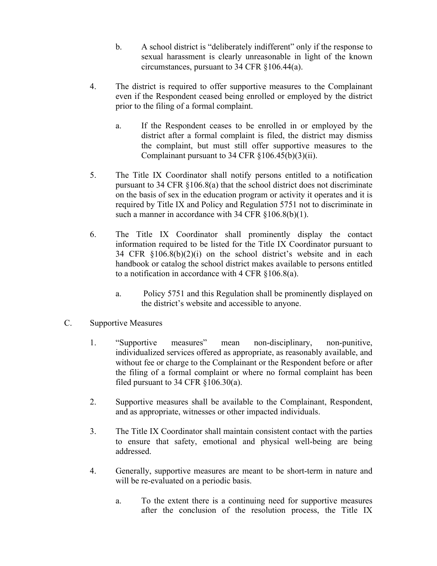- b. A school district is "deliberately indifferent" only if the response to sexual harassment is clearly unreasonable in light of the known circumstances, pursuant to 34 CFR §106.44(a).
- 4. The district is required to offer supportive measures to the Complainant even if the Respondent ceased being enrolled or employed by the district prior to the filing of a formal complaint.
	- a. If the Respondent ceases to be enrolled in or employed by the district after a formal complaint is filed, the district may dismiss the complaint, but must still offer supportive measures to the Complainant pursuant to 34 CFR  $\S 106.45(b)(3)(ii)$ .
- 5. The Title IX Coordinator shall notify persons entitled to a notification pursuant to 34 CFR §106.8(a) that the school district does not discriminate on the basis of sex in the education program or activity it operates and it is required by Title IX and Policy and Regulation 5751 not to discriminate in such a manner in accordance with 34 CFR  $$106.8(b)(1)$ .
- 6. The Title IX Coordinator shall prominently display the contact information required to be listed for the Title IX Coordinator pursuant to 34 CFR §106.8(b)(2)(i) on the school district's website and in each handbook or catalog the school district makes available to persons entitled to a notification in accordance with 4 CFR §106.8(a).
	- a. Policy 5751 and this Regulation shall be prominently displayed on the district's website and accessible to anyone.
- C. Supportive Measures
	- 1. "Supportive measures" mean non-disciplinary, non-punitive, individualized services offered as appropriate, as reasonably available, and without fee or charge to the Complainant or the Respondent before or after the filing of a formal complaint or where no formal complaint has been filed pursuant to 34 CFR §106.30(a).
	- 2. Supportive measures shall be available to the Complainant, Respondent, and as appropriate, witnesses or other impacted individuals.
	- 3. The Title IX Coordinator shall maintain consistent contact with the parties to ensure that safety, emotional and physical well-being are being addressed.
	- 4. Generally, supportive measures are meant to be short-term in nature and will be re-evaluated on a periodic basis.
		- a. To the extent there is a continuing need for supportive measures after the conclusion of the resolution process, the Title IX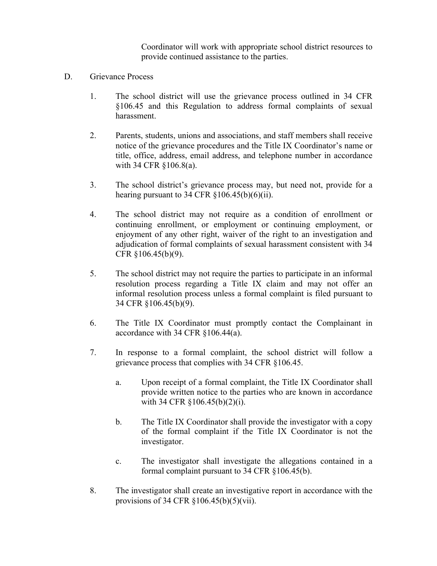Coordinator will work with appropriate school district resources to provide continued assistance to the parties.

- D. Grievance Process
	- 1. The school district will use the grievance process outlined in 34 CFR §106.45 and this Regulation to address formal complaints of sexual harassment.
	- 2. Parents, students, unions and associations, and staff members shall receive notice of the grievance procedures and the Title IX Coordinator's name or title, office, address, email address, and telephone number in accordance with 34 CFR §106.8(a).
	- 3. The school district's grievance process may, but need not, provide for a hearing pursuant to 34 CFR  $\S 106.45(b)(6)(ii)$ .
	- 4. The school district may not require as a condition of enrollment or continuing enrollment, or employment or continuing employment, or enjoyment of any other right, waiver of the right to an investigation and adjudication of formal complaints of sexual harassment consistent with 34 CFR §106.45(b)(9).
	- 5. The school district may not require the parties to participate in an informal resolution process regarding a Title IX claim and may not offer an informal resolution process unless a formal complaint is filed pursuant to 34 CFR §106.45(b)(9).
	- 6. The Title IX Coordinator must promptly contact the Complainant in accordance with 34 CFR §106.44(a).
	- 7. In response to a formal complaint, the school district will follow a grievance process that complies with 34 CFR §106.45.
		- a. Upon receipt of a formal complaint, the Title IX Coordinator shall provide written notice to the parties who are known in accordance with 34 CFR §106.45(b)(2)(i).
		- b. The Title IX Coordinator shall provide the investigator with a copy of the formal complaint if the Title IX Coordinator is not the investigator.
		- c. The investigator shall investigate the allegations contained in a formal complaint pursuant to 34 CFR §106.45(b).
	- 8. The investigator shall create an investigative report in accordance with the provisions of 34 CFR §106.45(b)(5)(vii).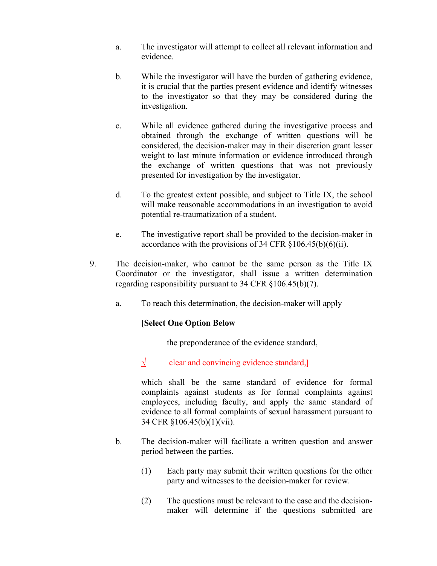- a. The investigator will attempt to collect all relevant information and evidence.
- b. While the investigator will have the burden of gathering evidence, it is crucial that the parties present evidence and identify witnesses to the investigator so that they may be considered during the investigation.
- c. While all evidence gathered during the investigative process and obtained through the exchange of written questions will be considered, the decision-maker may in their discretion grant lesser weight to last minute information or evidence introduced through the exchange of written questions that was not previously presented for investigation by the investigator.
- d. To the greatest extent possible, and subject to Title IX, the school will make reasonable accommodations in an investigation to avoid potential re-traumatization of a student.
- e. The investigative report shall be provided to the decision-maker in accordance with the provisions of 34 CFR  $\S 106.45(b)(6)(ii)$ .
- 9. The decision-maker, who cannot be the same person as the Title IX Coordinator or the investigator, shall issue a written determination regarding responsibility pursuant to 34 CFR §106.45(b)(7).
	- a. To reach this determination, the decision-maker will apply

## **[Select One Option Below**

the preponderance of the evidence standard,

√ clear and convincing evidence standard,**]**

which shall be the same standard of evidence for formal complaints against students as for formal complaints against employees, including faculty, and apply the same standard of evidence to all formal complaints of sexual harassment pursuant to 34 CFR §106.45(b)(1)(vii).

- b. The decision-maker will facilitate a written question and answer period between the parties.
	- (1) Each party may submit their written questions for the other party and witnesses to the decision-maker for review.
	- (2) The questions must be relevant to the case and the decisionmaker will determine if the questions submitted are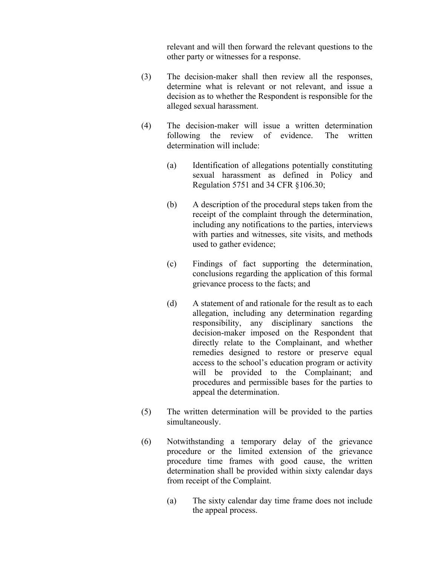relevant and will then forward the relevant questions to the other party or witnesses for a response.

- (3) The decision-maker shall then review all the responses, determine what is relevant or not relevant, and issue a decision as to whether the Respondent is responsible for the alleged sexual harassment.
- (4) The decision-maker will issue a written determination following the review of evidence. The written determination will include:
	- (a) Identification of allegations potentially constituting sexual harassment as defined in Policy and Regulation 5751 and 34 CFR §106.30;
	- (b) A description of the procedural steps taken from the receipt of the complaint through the determination, including any notifications to the parties, interviews with parties and witnesses, site visits, and methods used to gather evidence;
	- (c) Findings of fact supporting the determination, conclusions regarding the application of this formal grievance process to the facts; and
	- (d) A statement of and rationale for the result as to each allegation, including any determination regarding responsibility, any disciplinary sanctions the decision-maker imposed on the Respondent that directly relate to the Complainant, and whether remedies designed to restore or preserve equal access to the school's education program or activity will be provided to the Complainant; and procedures and permissible bases for the parties to appeal the determination.
- (5) The written determination will be provided to the parties simultaneously.
- (6) Notwithstanding a temporary delay of the grievance procedure or the limited extension of the grievance procedure time frames with good cause, the written determination shall be provided within sixty calendar days from receipt of the Complaint.
	- (a) The sixty calendar day time frame does not include the appeal process.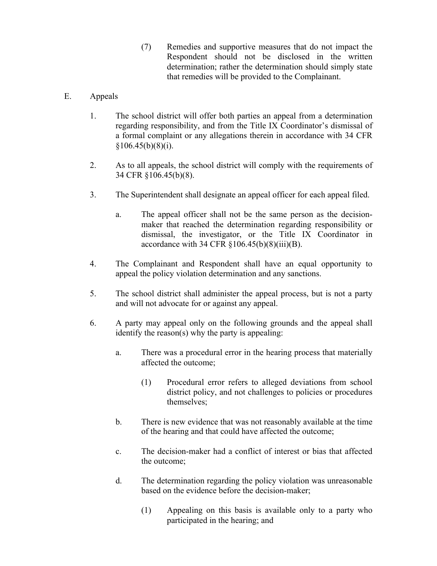- (7) Remedies and supportive measures that do not impact the Respondent should not be disclosed in the written determination; rather the determination should simply state that remedies will be provided to the Complainant.
- E. Appeals
	- 1. The school district will offer both parties an appeal from a determination regarding responsibility, and from the Title IX Coordinator's dismissal of a formal complaint or any allegations therein in accordance with 34 CFR  $§106.45(b)(8)(i).$
	- 2. As to all appeals, the school district will comply with the requirements of 34 CFR §106.45(b)(8).
	- 3. The Superintendent shall designate an appeal officer for each appeal filed.
		- a. The appeal officer shall not be the same person as the decisionmaker that reached the determination regarding responsibility or dismissal, the investigator, or the Title IX Coordinator in accordance with 34 CFR  $\S 106.45(b)(8)(iii)(B)$ .
	- 4. The Complainant and Respondent shall have an equal opportunity to appeal the policy violation determination and any sanctions.
	- 5. The school district shall administer the appeal process, but is not a party and will not advocate for or against any appeal.
	- 6. A party may appeal only on the following grounds and the appeal shall identify the reason(s) why the party is appealing:
		- a. There was a procedural error in the hearing process that materially affected the outcome;
			- (1) Procedural error refers to alleged deviations from school district policy, and not challenges to policies or procedures themselves;
		- b. There is new evidence that was not reasonably available at the time of the hearing and that could have affected the outcome;
		- c. The decision-maker had a conflict of interest or bias that affected the outcome;
		- d. The determination regarding the policy violation was unreasonable based on the evidence before the decision-maker;
			- (1) Appealing on this basis is available only to a party who participated in the hearing; and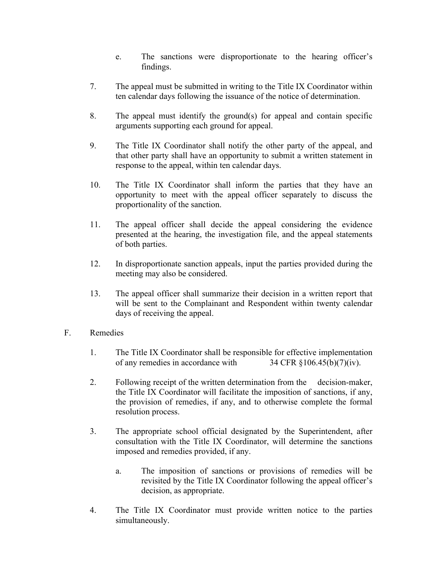- e. The sanctions were disproportionate to the hearing officer's findings.
- 7. The appeal must be submitted in writing to the Title IX Coordinator within ten calendar days following the issuance of the notice of determination.
- 8. The appeal must identify the ground(s) for appeal and contain specific arguments supporting each ground for appeal.
- 9. The Title IX Coordinator shall notify the other party of the appeal, and that other party shall have an opportunity to submit a written statement in response to the appeal, within ten calendar days.
- 10. The Title IX Coordinator shall inform the parties that they have an opportunity to meet with the appeal officer separately to discuss the proportionality of the sanction.
- 11. The appeal officer shall decide the appeal considering the evidence presented at the hearing, the investigation file, and the appeal statements of both parties.
- 12. In disproportionate sanction appeals, input the parties provided during the meeting may also be considered.
- 13. The appeal officer shall summarize their decision in a written report that will be sent to the Complainant and Respondent within twenty calendar days of receiving the appeal.
- F. Remedies
	- 1. The Title IX Coordinator shall be responsible for effective implementation of any remedies in accordance with  $34 \text{ CFR } \frac{106.45(b)}{7)(iv)}$ .
	- 2. Following receipt of the written determination from the decision-maker, the Title IX Coordinator will facilitate the imposition of sanctions, if any, the provision of remedies, if any, and to otherwise complete the formal resolution process.
	- 3. The appropriate school official designated by the Superintendent, after consultation with the Title IX Coordinator, will determine the sanctions imposed and remedies provided, if any.
		- a. The imposition of sanctions or provisions of remedies will be revisited by the Title IX Coordinator following the appeal officer's decision, as appropriate.
	- 4. The Title IX Coordinator must provide written notice to the parties simultaneously.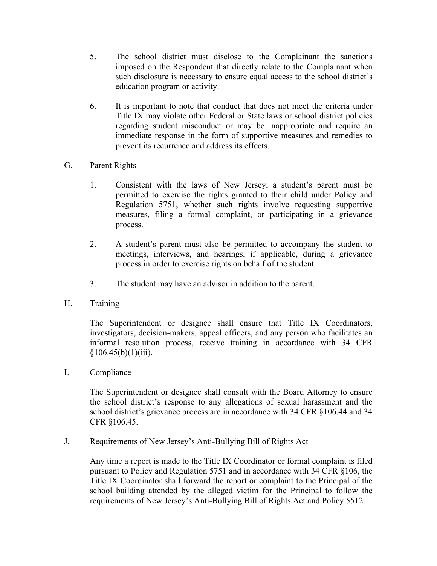- 5. The school district must disclose to the Complainant the sanctions imposed on the Respondent that directly relate to the Complainant when such disclosure is necessary to ensure equal access to the school district's education program or activity.
- 6. It is important to note that conduct that does not meet the criteria under Title IX may violate other Federal or State laws or school district policies regarding student misconduct or may be inappropriate and require an immediate response in the form of supportive measures and remedies to prevent its recurrence and address its effects.
- G. Parent Rights
	- 1. Consistent with the laws of New Jersey, a student's parent must be permitted to exercise the rights granted to their child under Policy and Regulation 5751, whether such rights involve requesting supportive measures, filing a formal complaint, or participating in a grievance process.
	- 2. A student's parent must also be permitted to accompany the student to meetings, interviews, and hearings, if applicable, during a grievance process in order to exercise rights on behalf of the student.
	- 3. The student may have an advisor in addition to the parent.
- H. Training

The Superintendent or designee shall ensure that Title IX Coordinators, investigators, decision-makers, appeal officers, and any person who facilitates an informal resolution process, receive training in accordance with 34 CFR  $§106.45(b)(1)(iii).$ 

I. Compliance

The Superintendent or designee shall consult with the Board Attorney to ensure the school district's response to any allegations of sexual harassment and the school district's grievance process are in accordance with 34 CFR §106.44 and 34 CFR §106.45.

J. Requirements of New Jersey's Anti-Bullying Bill of Rights Act

Any time a report is made to the Title IX Coordinator or formal complaint is filed pursuant to Policy and Regulation 5751 and in accordance with 34 CFR §106, the Title IX Coordinator shall forward the report or complaint to the Principal of the school building attended by the alleged victim for the Principal to follow the requirements of New Jersey's Anti-Bullying Bill of Rights Act and Policy 5512.